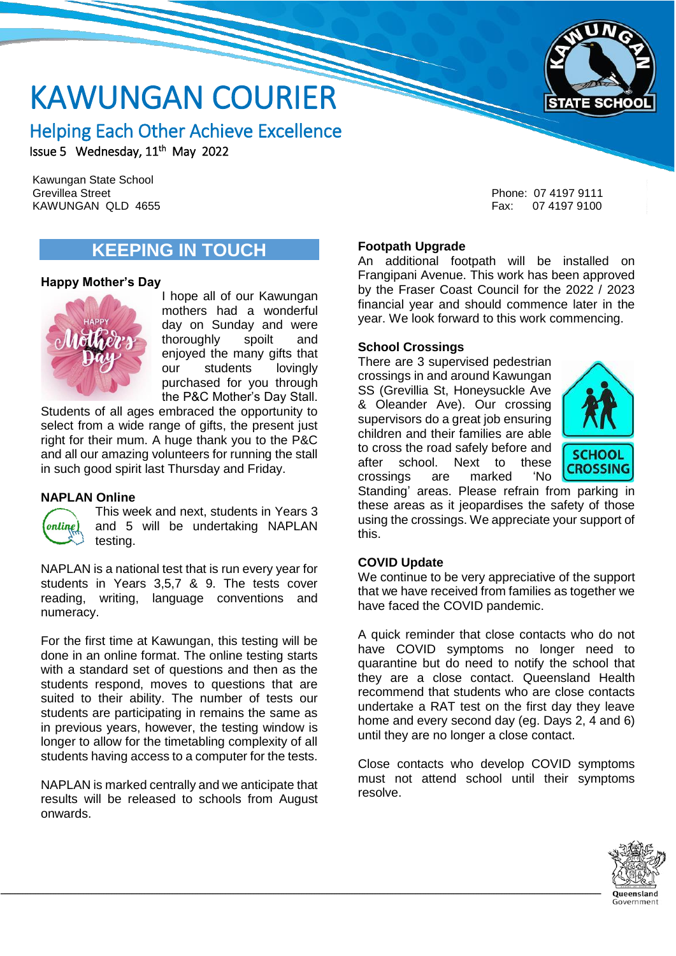

# KAWUNGAN COURIER

# Helping Each Other Achieve Excellence

Issue 5 Wednesday, 11<sup>th</sup> May 2022

Grevillea Street KAWUNGAN QLD 4655 Fax: 07 4197 9100 Kawungan State School

# **KEEPING IN TOUCH**

#### **Happy Mother's Day**



I hope all of our Kawungan mothers had a wonderful day on Sunday and were thoroughly spoilt and enjoyed the many gifts that our students lovingly purchased for you through the P&C Mother's Day Stall.

Students of all ages embraced the opportunity to select from a wide range of gifts, the present just right for their mum. A huge thank you to the P&C and all our amazing volunteers for running the stall in such good spirit last Thursday and Friday.

#### **NAPLAN Online**



This week and next, students in Years 3 and 5 will be undertaking NAPLAN testing.

NAPLAN is a national test that is run every year for students in Years 3,5,7 & 9. The tests cover reading, writing, language conventions and numeracy.

For the first time at Kawungan, this testing will be done in an online format. The online testing starts with a standard set of questions and then as the students respond, moves to questions that are suited to their ability. The number of tests our students are participating in remains the same as in previous years, however, the testing window is longer to allow for the timetabling complexity of all students having access to a computer for the tests.

NAPLAN is marked centrally and we anticipate that results will be released to schools from August onwards.

Phone: 07 4197 9111

#### **Footpath Upgrade**

An additional footpath will be installed on Frangipani Avenue. This work has been approved by the Fraser Coast Council for the 2022 / 2023 financial year and should commence later in the year. We look forward to this work commencing.

#### **School Crossings**

There are 3 supervised pedestrian crossings in and around Kawungan SS (Grevillia St, Honeysuckle Ave & Oleander Ave). Our crossing supervisors do a great job ensuring children and their families are able to cross the road safely before and after school. Next to these<br>crossings are marked 'No crossings are marked



Standing' areas. Please refrain from parking in these areas as it jeopardises the safety of those using the crossings. We appreciate your support of this.

#### **COVID Update**

We continue to be very appreciative of the support that we have received from families as together we have faced the COVID pandemic.

A quick reminder that close contacts who do not have COVID symptoms no longer need to quarantine but do need to notify the school that they are a close contact. Queensland Health recommend that students who are close contacts undertake a RAT test on the first day they leave home and every second day (eg. Days 2, 4 and 6) until they are no longer a close contact.

Close contacts who develop COVID symptoms must not attend school until their symptoms resolve.

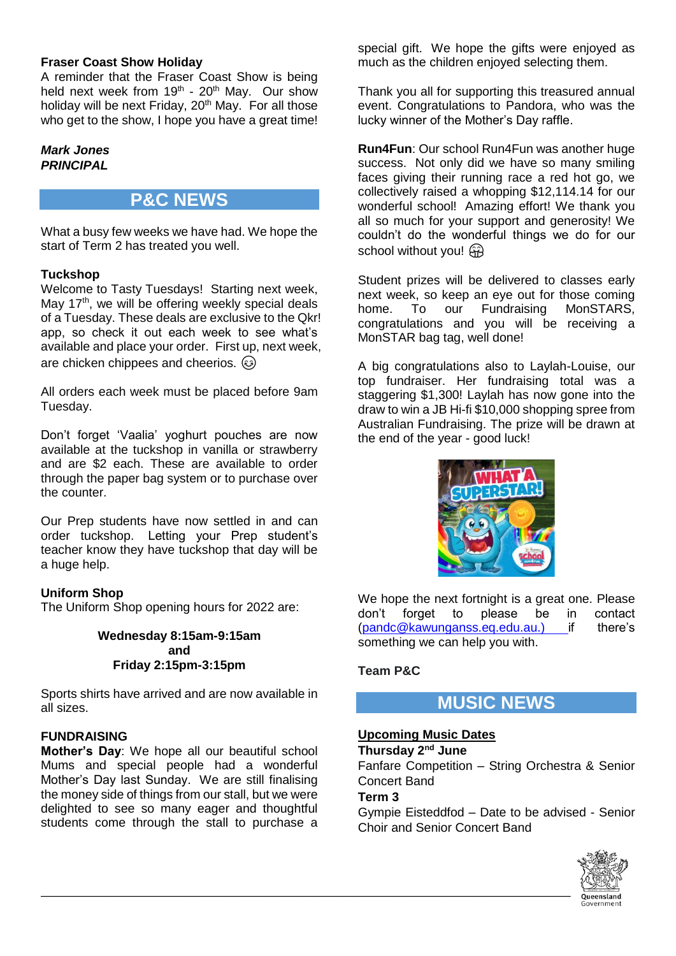#### **Fraser Coast Show Holiday**

A reminder that the Fraser Coast Show is being held next week from  $19<sup>th</sup>$  - 20<sup>th</sup> May. Our show holiday will be next Friday, 20<sup>th</sup> May. For all those who get to the show, I hope you have a great time!

#### *Mark Jones PRINCIPAL*

### **P&C NEWS**

What a busy few weeks we have had. We hope the start of Term 2 has treated you well.

#### **Tuckshop**

Welcome to Tasty Tuesdays! Starting next week, May 17<sup>th</sup>, we will be offering weekly special deals of a Tuesday. These deals are exclusive to the Qkr! app, so check it out each week to see what's available and place your order. First up, next week, are chicken chippees and cheerios.  $\circled{a}$ 

All orders each week must be placed before 9am Tuesday.

Don't forget 'Vaalia' yoghurt pouches are now available at the tuckshop in vanilla or strawberry and are \$2 each. These are available to order through the paper bag system or to purchase over the counter.

Our Prep students have now settled in and can order tuckshop. Letting your Prep student's teacher know they have tuckshop that day will be a huge help.

#### **Uniform Shop**

The Uniform Shop opening hours for 2022 are:

**Wednesday 8:15am-9:15am and Friday 2:15pm-3:15pm**

Sports shirts have arrived and are now available in all sizes.

#### **FUNDRAISING**

**Mother's Day**: We hope all our beautiful school Mums and special people had a wonderful Mother's Day last Sunday. We are still finalising the money side of things from our stall, but we were delighted to see so many eager and thoughtful students come through the stall to purchase a special gift. We hope the gifts were enjoyed as much as the children enjoyed selecting them.

Thank you all for supporting this treasured annual event. Congratulations to Pandora, who was the lucky winner of the Mother's Day raffle.

**Run4Fun**: Our school Run4Fun was another huge success. Not only did we have so many smiling faces giving their running race a red hot go, we collectively raised a whopping \$12,114.14 for our wonderful school! Amazing effort! We thank you all so much for your support and generosity! We couldn't do the wonderful things we do for our school without you!  $\widehat{H}$ 

Student prizes will be delivered to classes early next week, so keep an eye out for those coming home. To our Fundraising MonSTARS. congratulations and you will be receiving a MonSTAR bag tag, well done!

A big congratulations also to Laylah-Louise, our top fundraiser. Her fundraising total was a staggering \$1,300! Laylah has now gone into the draw to win a JB Hi-fi \$10,000 shopping spree from Australian Fundraising. The prize will be drawn at the end of the year - good luck!



We hope the next fortnight is a great one. Please don't forget to please be in contact [\(pandc@kawunganss.eq.edu.au.](mailto:pandc@kawunganss.eq.edu.au)) if there's something we can help you with.

#### **Team P&C**

#### **MUSIC NEWS**

#### **Upcoming Music Dates**

**Thursday 2nd June** Fanfare Competition – String Orchestra & Senior Concert Band **Term 3**

Gympie Eisteddfod – Date to be advised - Senior Choir and Senior Concert Band

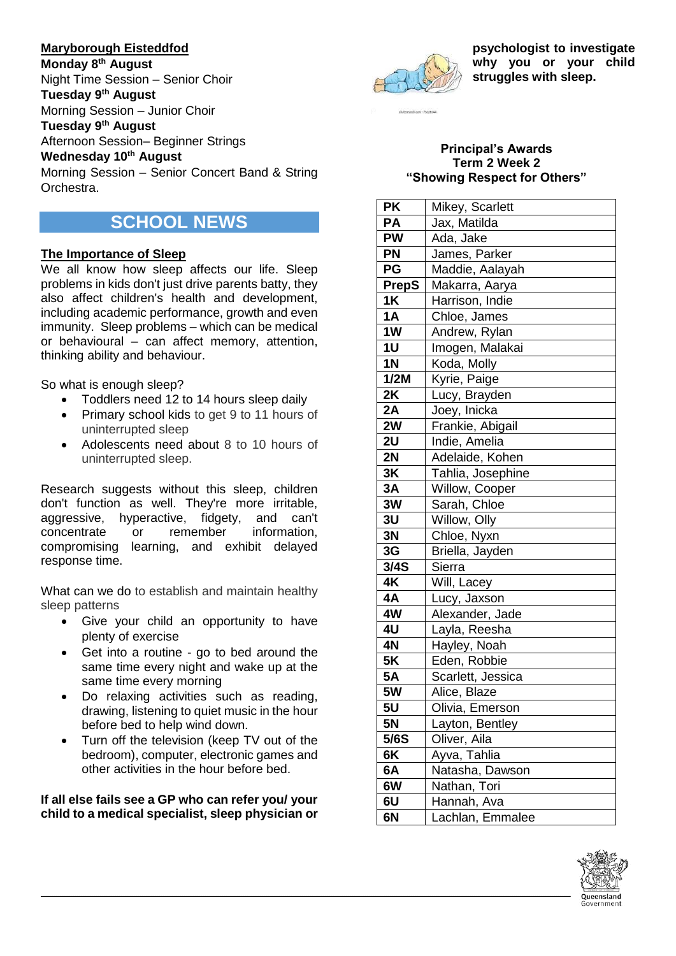#### **Maryborough Eisteddfod**

**Monday 8th August** Night Time Session – Senior Choir

#### **Tuesday 9th August**

Morning Session – Junior Choir

**Tuesday 9th August**

Afternoon Session– Beginner Strings

#### **Wednesday 10th August**

Morning Session – Senior Concert Band & String Orchestra.

## **SCHOOL NEWS**

#### **The Importance of Sleep**

We all know how sleep affects our life. Sleep problems in kids don't just drive parents batty, they also affect children's health and development, including academic performance, growth and even immunity. Sleep problems – which can be medical or behavioural – can affect memory, attention, thinking ability and behaviour.

So what is enough sleep?

- Toddlers need 12 to 14 hours sleep daily
- Primary school kids to get 9 to 11 hours of uninterrupted sleep
- Adolescents need about 8 to 10 hours of uninterrupted sleep.

Research suggests without this sleep, children don't function as well. They're more irritable, aggressive, hyperactive, fidgety, and can't concentrate or remember information, compromising learning, and exhibit delayed response time.

What can we do to establish and maintain healthy sleep patterns

- Give your child an opportunity to have plenty of exercise
- Get into a routine go to bed around the same time every night and wake up at the same time every morning
- Do relaxing activities such as reading, drawing, listening to quiet music in the hour before bed to help wind down.
- Turn off the television (keep TV out of the bedroom), computer, electronic games and other activities in the hour before bed.

**If all else fails see a GP who can refer you/ your child to a medical specialist, sleep physician or** 



**psychologist to investigate why you or your child struggles with sleep.**

#### **Principal's Awards Term 2 Week 2 "Showing Respect for Others"**

| <b>PK</b>      | Mikey, Scarlett   |
|----------------|-------------------|
| <b>PA</b>      | Jax, Matilda      |
| <b>PW</b>      | Ada, Jake         |
| PN             | James, Parker     |
| PG             | Maddie, Aalayah   |
| <b>PrepS</b>   | Makarra, Aarya    |
| 1K             | Harrison, Indie   |
| 1A             | Chloe, James      |
| 1W             | Andrew, Rylan     |
| 1 <sub>U</sub> | Imogen, Malakai   |
| 1 <sub>N</sub> | Koda, Molly       |
| 1/2M           | Kyrie, Paige      |
| 2K             | Lucy, Brayden     |
| 2A             | Joey, Inicka      |
| 2W             | Frankie, Abigail  |
| 2U             | Indie, Amelia     |
| 2N             | Adelaide, Kohen   |
| 3K             | Tahlia, Josephine |
| 3A             | Willow, Cooper    |
| 3W             | Sarah, Chloe      |
| 3U             | Willow, Olly      |
| 3N             | Chloe, Nyxn       |
| 3G             | Briella, Jayden   |
| 3/4S           | Sierra            |
| 4K             | Will, Lacey       |
| 4A             | Lucy, Jaxson      |
| 4W             | Alexander, Jade   |
| 4U             | Layla, Reesha     |
| 4N             | Hayley, Noah      |
| <b>5K</b>      | Eden, Robbie      |
| <b>5A</b>      | Scarlett, Jessica |
| 5W             | Alice, Blaze      |
| 5 <sub>U</sub> | Olivia, Emerson   |
| <b>5N</b>      | Layton, Bentley   |
| 5/6S           | Oliver, Aila      |
| 6K             | Ayva, Tahlia      |
| 6A             | Natasha, Dawson   |
| 6W             | Nathan, Tori      |
| 6U             | Hannah, Ava       |
| 6N             | Lachlan, Emmalee  |

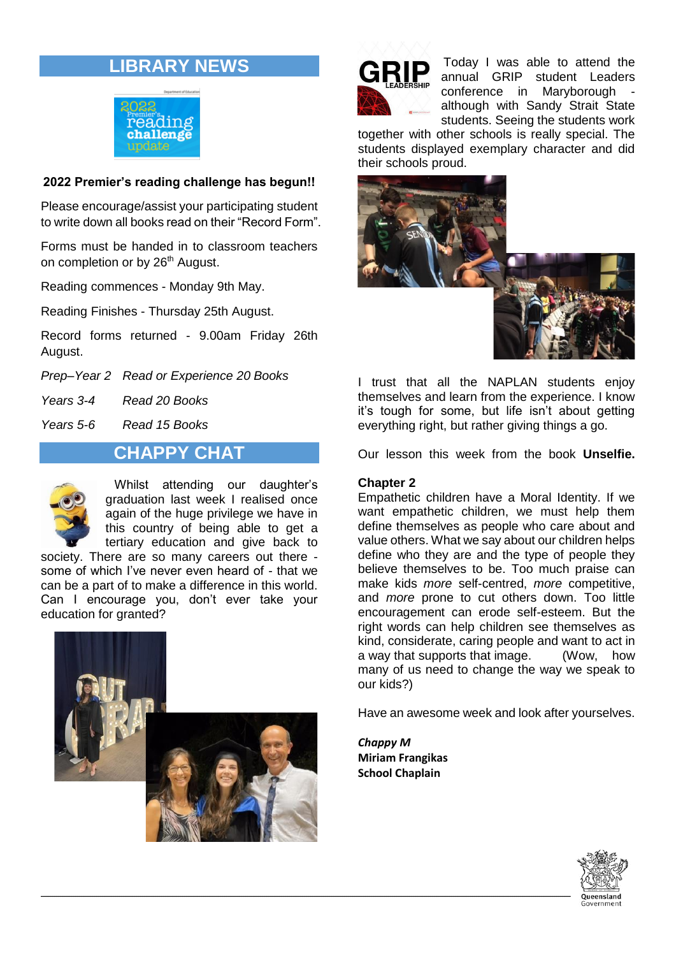# **LIBRARY NEWS**



#### **2022 Premier's reading challenge has begun!!**

Please encourage/assist your participating student to write down all books read on their "Record Form".

Forms must be handed in to classroom teachers on completion or by 26<sup>th</sup> August.

Reading commences - Monday 9th May.

Reading Finishes - Thursday 25th August.

Record forms returned - 9.00am Friday 26th August.

*Prep–Year 2 Read or Experience 20 Books*

*Years 3-4 Read 20 Books*

*Years 5-6 Read 15 Books*

#### **CHAPPY CHAT**



Whilst attending our daughter's graduation last week I realised once again of the huge privilege we have in this country of being able to get a tertiary education and give back to

society. There are so many careers out there some of which I've never even heard of - that we can be a part of to make a difference in this world. Can I encourage you, don't ever take your education for granted?





Today I was able to attend the annual GRIP student Leaders conference in Maryborough although with Sandy Strait State students. Seeing the students work

together with other schools is really special. The students displayed exemplary character and did their schools proud.



I trust that all the NAPLAN students enjoy themselves and learn from the experience. I know it's tough for some, but life isn't about getting everything right, but rather giving things a go.

Our lesson this week from the book **Unselfie.**

#### **Chapter 2**

Empathetic children have a Moral Identity. If we want empathetic children, we must help them define themselves as people who care about and value others. What we say about our children helps define who they are and the type of people they believe themselves to be. Too much praise can make kids *more* self-centred, *more* competitive, and *more* prone to cut others down. Too little encouragement can erode self-esteem. But the right words can help children see themselves as kind, considerate, caring people and want to act in a way that supports that image. (Wow, how many of us need to change the way we speak to our kids?)

Have an awesome week and look after yourselves.

*Chappy M* **Miriam Frangikas School Chaplain**